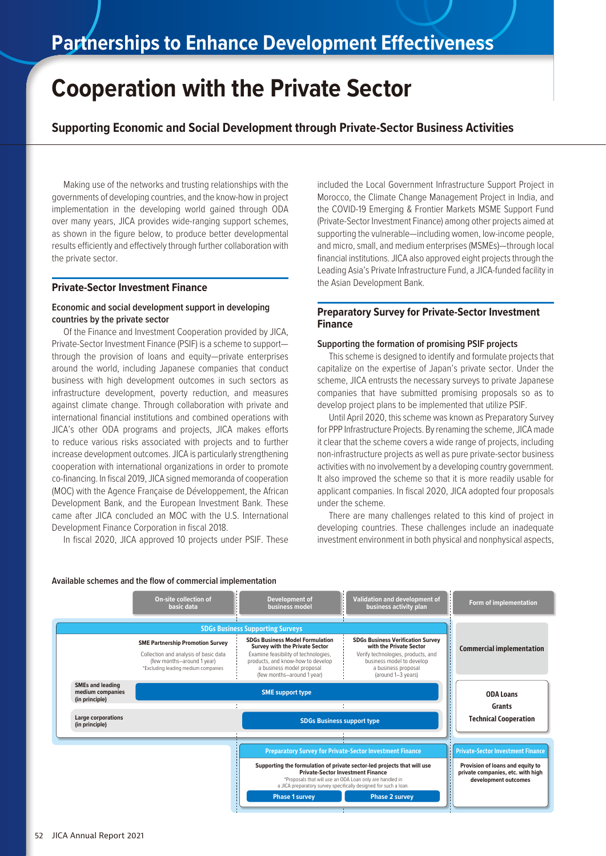# **Cooperation with the Private Sector**

**Supporting Economic and Social Development through Private-Sector Business Activities**

Making use of the networks and trusting relationships with the governments of developing countries, and the know-how in project implementation in the developing world gained through ODA over many years, JICA provides wide-ranging support schemes, as shown in the figure below, to produce better developmental results efficiently and effectively through further collaboration with the private sector.

### **Private-Sector Investment Finance**

# **Economic and social development support in developing countries by the private sector**

Of the Finance and Investment Cooperation provided by JICA, Private-Sector Investment Finance (PSIF) is a scheme to support through the provision of loans and equity—private enterprises around the world, including Japanese companies that conduct business with high development outcomes in such sectors as infrastructure development, poverty reduction, and measures against climate change. Through collaboration with private and international financial institutions and combined operations with JICA's other ODA programs and projects, JICA makes efforts to reduce various risks associated with projects and to further increase development outcomes. JICA is particularly strengthening cooperation with international organizations in order to promote co-financing. In fiscal 2019, JICA signed memoranda of cooperation (MOC) with the Agence Française de Développement, the African Development Bank, and the European Investment Bank. These came after JICA concluded an MOC with the U.S. International Development Finance Corporation in fiscal 2018.

In fiscal 2020, JICA approved 10 projects under PSIF. These

included the Local Government Infrastructure Support Project in Morocco, the Climate Change Management Project in India, and the COVID-19 Emerging & Frontier Markets MSME Support Fund (Private-Sector Investment Finance) among other projects aimed at supporting the vulnerable—including women, low-income people, and micro, small, and medium enterprises (MSMEs)—through local financial institutions. JICA also approved eight projects through the Leading Asia's Private Infrastructure Fund, a JICA-funded facility in the Asian Development Bank.

# **Preparatory Survey for Private-Sector Investment Finance**

#### **Supporting the formation of promising PSIF projects**

This scheme is designed to identify and formulate projects that capitalize on the expertise of Japan's private sector. Under the scheme, JICA entrusts the necessary surveys to private Japanese companies that have submitted promising proposals so as to develop project plans to be implemented that utilize PSIF.

Until April 2020, this scheme was known as Preparatory Survey for PPP Infrastructure Projects. By renaming the scheme, JICA made it clear that the scheme covers a wide range of projects, including non-infrastructure projects as well as pure private-sector business activities with no involvement by a developing country government. It also improved the scheme so that it is more readily usable for applicant companies. In fiscal 2020, JICA adopted four proposals under the scheme.

There are many challenges related to this kind of project in developing countries. These challenges include an inadequate investment environment in both physical and nonphysical aspects,



#### **Available schemes and the flow of commercial implementation**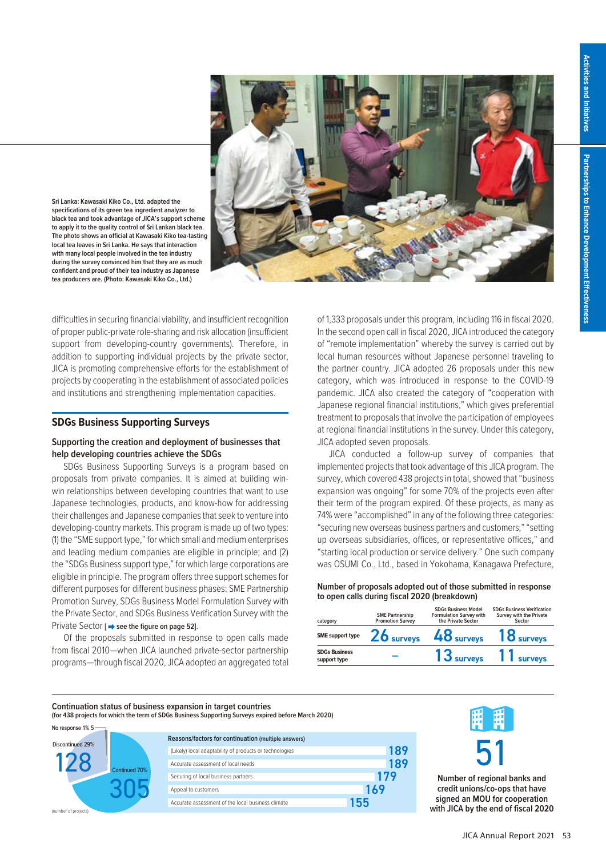

**Sri Lanka: Kawasaki Kiko Co., Ltd. adapted the specifications of its green tea ingredient analyzer to black tea and took advantage of JICA's support scheme to apply it to the quality control of Sri Lankan black tea. The photo shows an official at Kawasaki Kiko tea-tasting local tea leaves in Sri Lanka. He says that interaction with many local people involved in the tea industry during the survey convinced him that they are as much confident and proud of their tea industry as Japanese tea producers are. (Photo: Kawasaki Kiko Co., Ltd.)**

difficulties in securing financial viability, and insufficient recognition of proper public-private role-sharing and risk allocation (insufficient support from developing-country governments). Therefore, in addition to supporting individual projects by the private sector, JICA is promoting comprehensive efforts for the establishment of projects by cooperating in the establishment of associated policies and institutions and strengthening implementation capacities.

#### **SDGs Business Supporting Surveys**

# **Supporting the creation and deployment of businesses that help developing countries achieve the SDGs**

SDGs Business Supporting Surveys is a program based on proposals from private companies. It is aimed at building winwin relationships between developing countries that want to use Japanese technologies, products, and know-how for addressing their challenges and Japanese companies that seek to venture into developing-country markets. This program is made up of two types: (1) the "SME support type," for which small and medium enterprises and leading medium companies are eligible in principle; and (2) the "SDGs Business support type," for which large corporations are eligible in principle. The program offers three support schemes for different purposes for different business phases: SME Partnership Promotion Survey, SDGs Business Model Formulation Survey with the Private Sector, and SDGs Business Verification Survey with the Private Sector [ $\rightarrow$  see the figure on page 52].

Of the proposals submitted in response to open calls made from fiscal 2010—when JICA launched private-sector partnership programs—through fiscal 2020, JICA adopted an aggregated total of 1,333 proposals under this program, including 116 in fiscal 2020. In the second open call in fiscal 2020, JICA introduced the category of "remote implementation" whereby the survey is carried out by local human resources without Japanese personnel traveling to the partner country. JICA adopted 26 proposals under this new category, which was introduced in response to the COVID-19 pandemic. JICA also created the category of "cooperation with Japanese regional financial institutions," which gives preferential treatment to proposals that involve the participation of employees at regional financial institutions in the survey. Under this category, JICA adopted seven proposals.

JICA conducted a follow-up survey of companies that implemented projects that took advantage of this JICA program. The survey, which covered 438 projects in total, showed that "business expansion was ongoing" for some 70% of the projects even after their term of the program expired. Of these projects, as many as 74% were "accomplished" in any of the following three categories: "securing new overseas business partners and customers," "setting up overseas subsidiaries, offices, or representative offices," and "starting local production or service delivery." One such company was OSUMI Co., Ltd., based in Yokohama, Kanagawa Prefecture,

**Number of proposals adopted out of those submitted in response to open calls during fiscal 2020 (breakdown)**

| category                             | <b>SME Partnership</b><br><b>Promotion Survey</b> | <b>SDGs Business Model</b><br><b>Formulation Survey with</b><br>the Private Sector | <b>SDGs Business Verification</b><br>Survey with the Private<br>Sector |
|--------------------------------------|---------------------------------------------------|------------------------------------------------------------------------------------|------------------------------------------------------------------------|
| SME support type                     | $26$ surveys                                      | $48$ surveys                                                                       | 18 <sub>surveys</sub>                                                  |
| <b>SDGs Business</b><br>support type |                                                   |                                                                                    | 13 surveys 11 surveys                                                  |

#### **Continuation status of business expansion in target countries**

**(for 438 projects for which the term of SDGs Business Supporting Surveys expired before March 2020)**



| Reasons/factors for continuation (multiple answers)     |     |
|---------------------------------------------------------|-----|
| (Likely) local adaptability of products or technologies | 189 |
| Accurate assessment of local needs                      | 189 |
| Securing of local business partners                     | 179 |
| Appeal to customers                                     | 169 |
| Accurate assessment of the local business climate       | 155 |
|                                                         |     |



**Number of regional banks and credit unions/co-ops that have signed an MOU for cooperation with JICA by the end of fiscal 2020**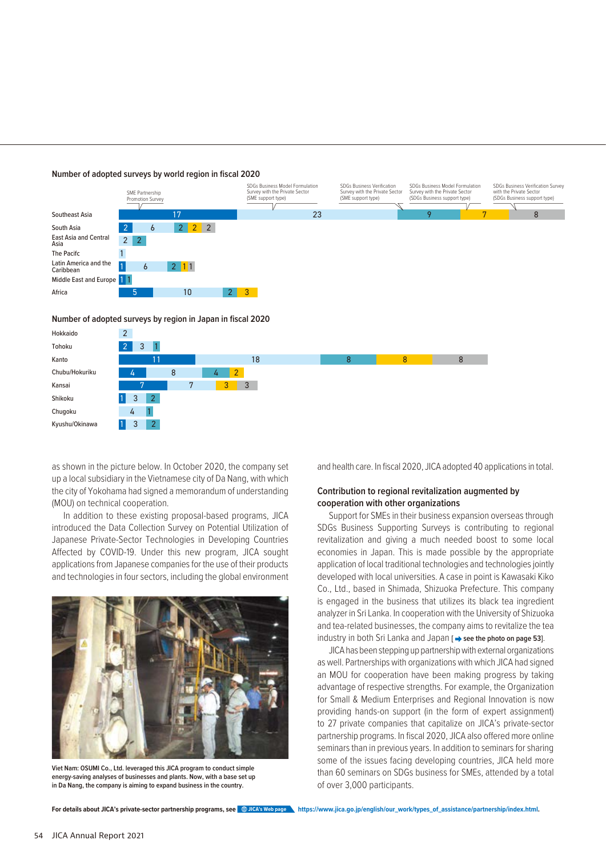



**Number of adopted surveys by region in Japan in fiscal 2020**



as shown in the picture below. In October 2020, the company set up a local subsidiary in the Vietnamese city of Da Nang, with which the city of Yokohama had signed a memorandum of understanding (MOU) on technical cooperation.

In addition to these existing proposal-based programs, JICA introduced the Data Collection Survey on Potential Utilization of Japanese Private-Sector Technologies in Developing Countries Affected by COVID-19. Under this new program, JICA sought applications from Japanese companies for the use of their products and technologies in four sectors, including the global environment



**Viet Nam: OSUMI Co., Ltd. leveraged this JICA program to conduct simple energy-saving analyses of businesses and plants. Now, with a base set up in Da Nang, the company is aiming to expand business in the country.**

and health care. In fiscal 2020, JICA adopted 40 applications in total.

# **Contribution to regional revitalization augmented by cooperation with other organizations**

Support for SMEs in their business expansion overseas through SDGs Business Supporting Surveys is contributing to regional revitalization and giving a much needed boost to some local economies in Japan. This is made possible by the appropriate application of local traditional technologies and technologies jointly developed with local universities. A case in point is Kawasaki Kiko Co., Ltd., based in Shimada, Shizuoka Prefecture. This company is engaged in the business that utilizes its black tea ingredient analyzer in Sri Lanka. In cooperation with the University of Shizuoka and tea-related businesses, the company aims to revitalize the tea industry in both Sri Lanka and Japan [ $\rightarrow$  see the photo on page 53].

JICA has been stepping up partnership with external organizations as well. Partnerships with organizations with which JICA had signed an MOU for cooperation have been making progress by taking advantage of respective strengths. For example, the Organization for Small & Medium Enterprises and Regional Innovation is now providing hands-on support (in the form of expert assignment) to 27 private companies that capitalize on JICA's private-sector partnership programs. In fiscal 2020, JICA also offered more online seminars than in previous years. In addition to seminars for sharing some of the issues facing developing countries, JICA held more than 60 seminars on SDGs business for SMEs, attended by a total of over 3,000 participants.

For details about JICA's private-sector partnership programs, see wicks web page https://www.jica.go.jp/english/our\_work/types\_of\_assistance/partnership/index.html.